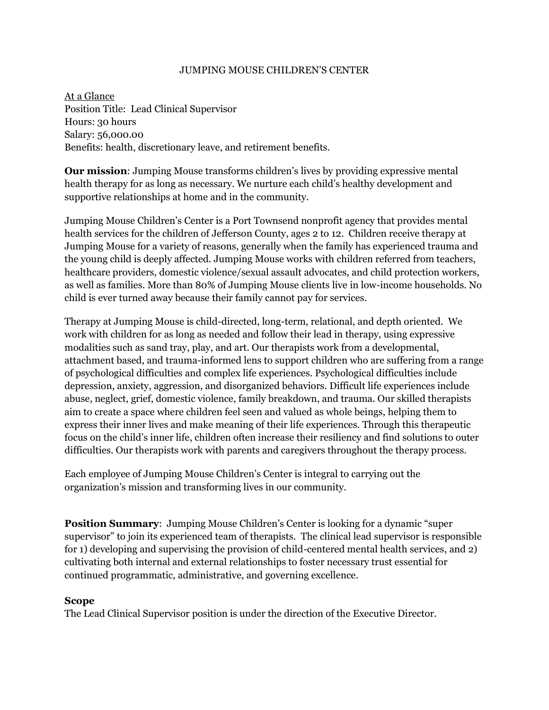#### JUMPING MOUSE CHILDREN'S CENTER

At a Glance Position Title: Lead Clinical Supervisor Hours: 30 hours Salary: 56,000.00 Benefits: health, discretionary leave, and retirement benefits.

**Our mission**: Jumping Mouse transforms children's lives by providing expressive mental health therapy for as long as necessary. We nurture each child's healthy development and supportive relationships at home and in the community.

Jumping Mouse Children's Center is a Port Townsend nonprofit agency that provides mental health services for the children of Jefferson County, ages 2 to 12. Children receive therapy at Jumping Mouse for a variety of reasons, generally when the family has experienced trauma and the young child is deeply affected. Jumping Mouse works with children referred from teachers, healthcare providers, domestic violence/sexual assault advocates, and child protection workers, as well as families. More than 80% of Jumping Mouse clients live in low-income households. No child is ever turned away because their family cannot pay for services.

Therapy at Jumping Mouse is child-directed, long-term, relational, and depth oriented. We work with children for as long as needed and follow their lead in therapy, using expressive modalities such as sand tray, play, and art. Our therapists work from a developmental, attachment based, and trauma-informed lens to support children who are suffering from a range of psychological difficulties and complex life experiences. Psychological difficulties include depression, anxiety, aggression, and disorganized behaviors. Difficult life experiences include abuse, neglect, grief, domestic violence, family breakdown, and trauma. Our skilled therapists aim to create a space where children feel seen and valued as whole beings, helping them to express their inner lives and make meaning of their life experiences. Through this therapeutic focus on the child's inner life, children often increase their resiliency and find solutions to outer difficulties. Our therapists work with parents and caregivers throughout the therapy process.

Each employee of Jumping Mouse Children's Center is integral to carrying out the organization's mission and transforming lives in our community.

**Position Summary**: Jumping Mouse Children's Center is looking for a dynamic "super supervisor" to join its experienced team of therapists. The clinical lead supervisor is responsible for 1) developing and supervising the provision of child-centered mental health services, and 2) cultivating both internal and external relationships to foster necessary trust essential for continued programmatic, administrative, and governing excellence.

#### **Scope**

The Lead Clinical Supervisor position is under the direction of the Executive Director.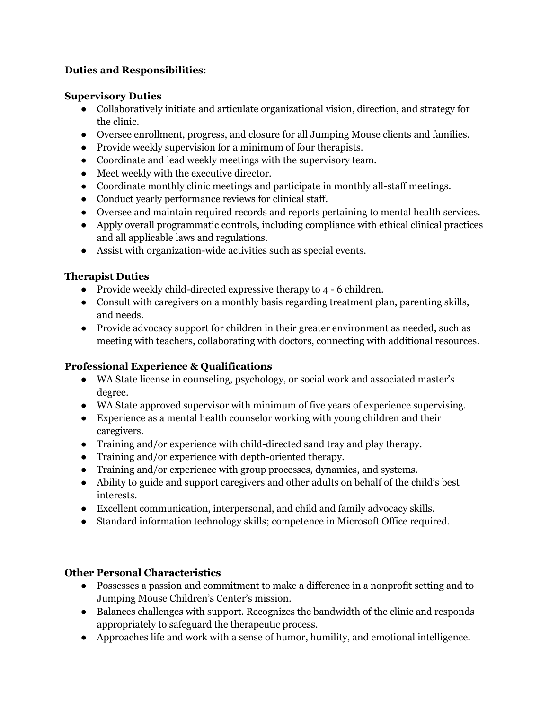## **Duties and Responsibilities**:

## **Supervisory Duties**

- Collaboratively initiate and articulate organizational vision, direction, and strategy for the clinic.
- Oversee enrollment, progress, and closure for all Jumping Mouse clients and families.
- Provide weekly supervision for a minimum of four therapists.
- Coordinate and lead weekly meetings with the supervisory team.
- Meet weekly with the executive director.
- Coordinate monthly clinic meetings and participate in monthly all-staff meetings.
- Conduct yearly performance reviews for clinical staff.
- Oversee and maintain required records and reports pertaining to mental health services.
- Apply overall programmatic controls, including compliance with ethical clinical practices and all applicable laws and regulations.
- Assist with organization-wide activities such as special events.

## **Therapist Duties**

- Provide weekly child-directed expressive therapy to 4 6 children.
- Consult with caregivers on a monthly basis regarding treatment plan, parenting skills, and needs.
- Provide advocacy support for children in their greater environment as needed, such as meeting with teachers, collaborating with doctors, connecting with additional resources.

# **Professional Experience & Qualifications**

- WA State license in counseling, psychology, or social work and associated master's degree.
- WA State approved supervisor with minimum of five years of experience supervising.
- Experience as a mental health counselor working with young children and their caregivers.
- Training and/or experience with child-directed sand tray and play therapy.
- Training and/or experience with depth-oriented therapy.
- Training and/or experience with group processes, dynamics, and systems.
- Ability to guide and support caregivers and other adults on behalf of the child's best interests.
- Excellent communication, interpersonal, and child and family advocacy skills.
- Standard information technology skills; competence in Microsoft Office required.

## **Other Personal Characteristics**

- Possesses a passion and commitment to make a difference in a nonprofit setting and to Jumping Mouse Children's Center's mission.
- Balances challenges with support. Recognizes the bandwidth of the clinic and responds appropriately to safeguard the therapeutic process.
- Approaches life and work with a sense of humor, humility, and emotional intelligence.